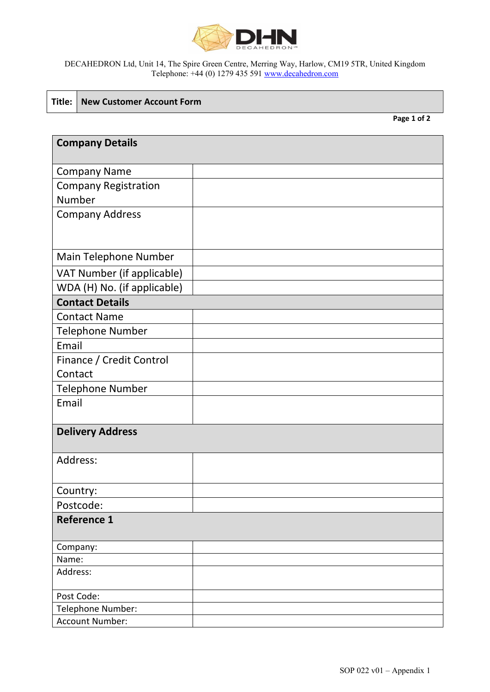

### DECAHEDRON Ltd, Unit 14, The Spire Green Centre, Merring Way, Harlow, CM19 5TR, United Kingdom Telephone: +44 (0) 1279 435 591 [www.decahedron.com](http://www.decahedron.com/)

### **Title: New Customer Account Form**

**Page 1 of 2**

| <b>Company Details</b>      |  |  |
|-----------------------------|--|--|
|                             |  |  |
| <b>Company Name</b>         |  |  |
| <b>Company Registration</b> |  |  |
| Number                      |  |  |
| <b>Company Address</b>      |  |  |
|                             |  |  |
|                             |  |  |
| Main Telephone Number       |  |  |
| VAT Number (if applicable)  |  |  |
| WDA (H) No. (if applicable) |  |  |
| <b>Contact Details</b>      |  |  |
| <b>Contact Name</b>         |  |  |
| <b>Telephone Number</b>     |  |  |
| Email                       |  |  |
| Finance / Credit Control    |  |  |
| Contact                     |  |  |
| <b>Telephone Number</b>     |  |  |
| Email                       |  |  |
|                             |  |  |
| <b>Delivery Address</b>     |  |  |
|                             |  |  |
| Address:                    |  |  |
|                             |  |  |
| Country:                    |  |  |
| Postcode:                   |  |  |
| <b>Reference 1</b>          |  |  |
|                             |  |  |
| Company:                    |  |  |
| Name:                       |  |  |
| Address:                    |  |  |
| Post Code:                  |  |  |
| Telephone Number:           |  |  |
| <b>Account Number:</b>      |  |  |